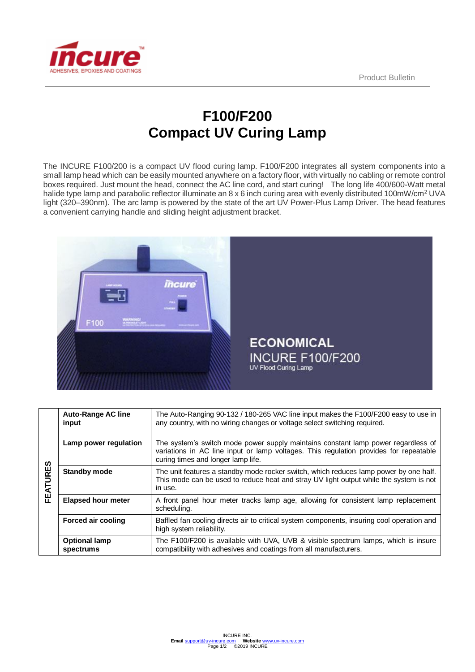

## **F100/F200 Compact UV Curing Lamp**

The INCURE F100/200 is a compact UV flood curing lamp. F100/F200 integrates all system components into a small lamp head which can be easily mounted anywhere on a factory floor, with virtually no cabling or remote control boxes required. Just mount the head, connect the AC line cord, and start curing! The long life 400/600-Watt metal halide type lamp and parabolic reflector illuminate an 8 x 6 inch curing area with evenly distributed 100mW/cm<sup>2</sup> UVA light (320–390nm). The arc lamp is powered by the state of the art UV Power-Plus Lamp Driver. The head features a convenient carrying handle and sliding height adjustment bracket.



| FEATURES | <b>Auto-Range AC line</b><br>input | The Auto-Ranging 90-132 / 180-265 VAC line input makes the F100/F200 easy to use in<br>any country, with no wiring changes or voltage select switching required.                                                 |
|----------|------------------------------------|------------------------------------------------------------------------------------------------------------------------------------------------------------------------------------------------------------------|
|          | Lamp power regulation              | The system's switch mode power supply maintains constant lamp power regardless of<br>variations in AC line input or lamp voltages. This regulation provides for repeatable<br>curing times and longer lamp life. |
|          | <b>Standby mode</b>                | The unit features a standby mode rocker switch, which reduces lamp power by one half.<br>This mode can be used to reduce heat and stray UV light output while the system is not<br>in use.                       |
|          | <b>Elapsed hour meter</b>          | A front panel hour meter tracks lamp age, allowing for consistent lamp replacement<br>scheduling.                                                                                                                |
|          | <b>Forced air cooling</b>          | Baffled fan cooling directs air to critical system components, insuring cool operation and<br>high system reliability.                                                                                           |
|          | <b>Optional lamp</b><br>spectrums  | The F100/F200 is available with UVA, UVB & visible spectrum lamps, which is insure<br>compatibility with adhesives and coatings from all manufacturers.                                                          |